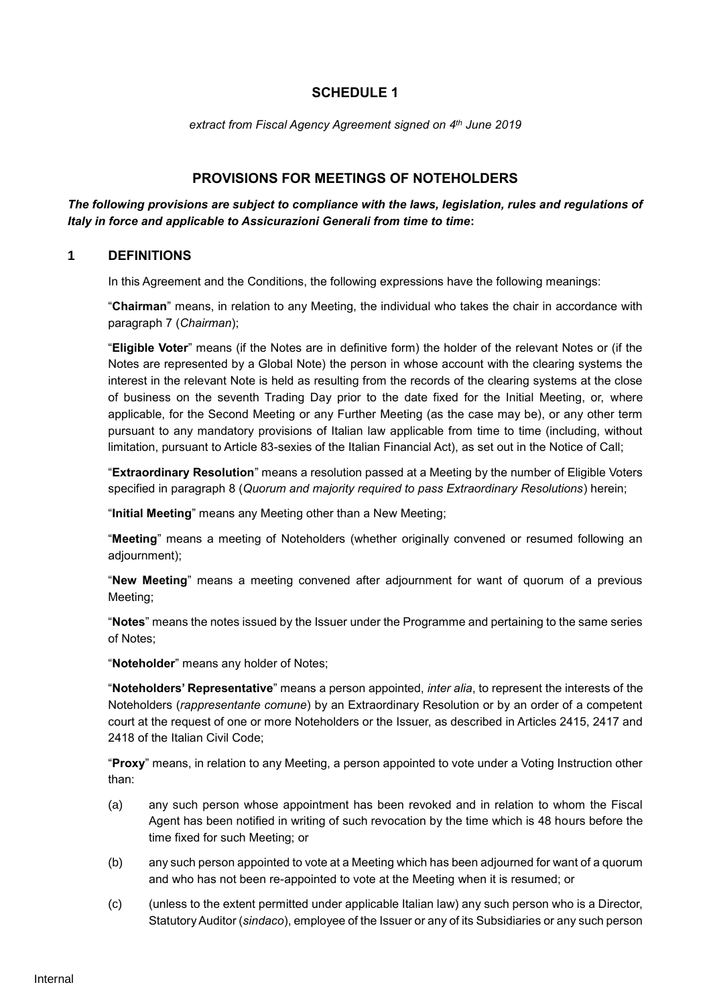# **SCHEDULE 1**

*extract from Fiscal Agency Agreement signed on 4 th June 2019*

# **PROVISIONS FOR MEETINGS OF NOTEHOLDERS**

### *The following provisions are subject to compliance with the laws, legislation, rules and regulations of Italy in force and applicable to Assicurazioni Generali from time to time***:**

### **1 DEFINITIONS**

In this Agreement and the Conditions, the following expressions have the following meanings:

"**Chairman**" means, in relation to any Meeting, the individual who takes the chair in accordance with paragraph 7 (*Chairman*);

"**Eligible Voter**" means (if the Notes are in definitive form) the holder of the relevant Notes or (if the Notes are represented by a Global Note) the person in whose account with the clearing systems the interest in the relevant Note is held as resulting from the records of the clearing systems at the close of business on the seventh Trading Day prior to the date fixed for the Initial Meeting, or, where applicable, for the Second Meeting or any Further Meeting (as the case may be), or any other term pursuant to any mandatory provisions of Italian law applicable from time to time (including, without limitation, pursuant to Article 83-sexies of the Italian Financial Act), as set out in the Notice of Call;

"**Extraordinary Resolution**" means a resolution passed at a Meeting by the number of Eligible Voters specified in paragraph 8 (*Quorum and majority required to pass Extraordinary Resolutions*) herein;

"**Initial Meeting**" means any Meeting other than a New Meeting;

"**Meeting**" means a meeting of Noteholders (whether originally convened or resumed following an adjournment);

"**New Meeting**" means a meeting convened after adjournment for want of quorum of a previous Meeting;

"**Notes**" means the notes issued by the Issuer under the Programme and pertaining to the same series of Notes;

"**Noteholder**" means any holder of Notes;

"**Noteholders' Representative**" means a person appointed, *inter alia*, to represent the interests of the Noteholders (*rappresentante comune*) by an Extraordinary Resolution or by an order of a competent court at the request of one or more Noteholders or the Issuer, as described in Articles 2415, 2417 and 2418 of the Italian Civil Code;

"**Proxy**" means, in relation to any Meeting, a person appointed to vote under a Voting Instruction other than:

- (a) any such person whose appointment has been revoked and in relation to whom the Fiscal Agent has been notified in writing of such revocation by the time which is 48 hours before the time fixed for such Meeting; or
- (b) any such person appointed to vote at a Meeting which has been adjourned for want of a quorum and who has not been re-appointed to vote at the Meeting when it is resumed; or
- (c) (unless to the extent permitted under applicable Italian law) any such person who is a Director, Statutory Auditor (*sindaco*), employee of the Issuer or any of its Subsidiaries or any such person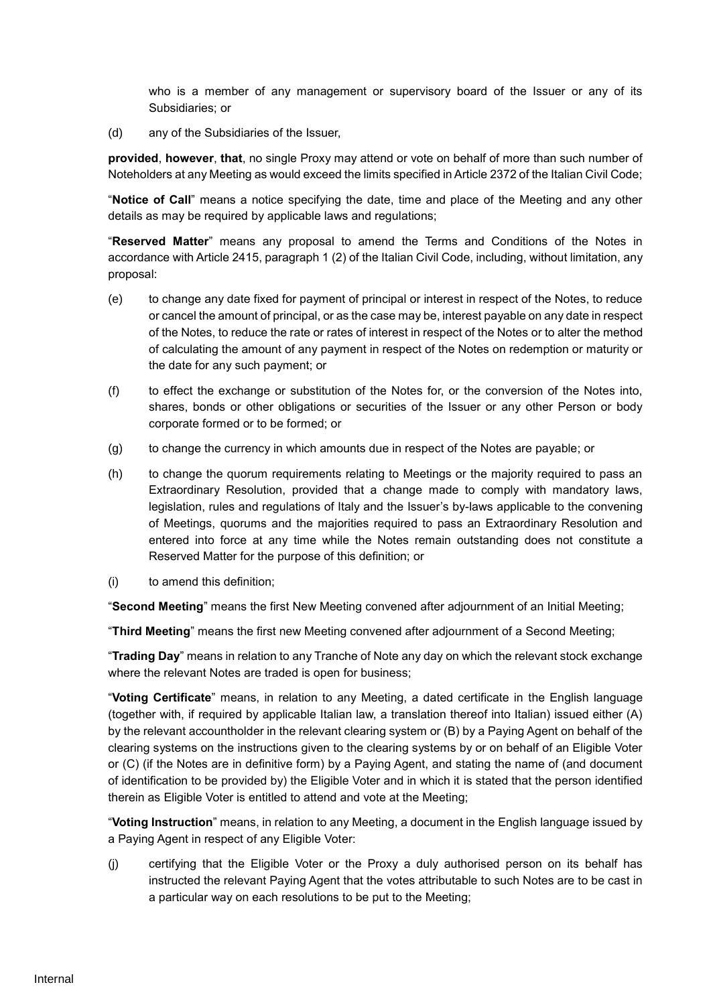who is a member of any management or supervisory board of the Issuer or any of its Subsidiaries; or

(d) any of the Subsidiaries of the Issuer,

**provided**, **however**, **that**, no single Proxy may attend or vote on behalf of more than such number of Noteholders at any Meeting as would exceed the limits specified in Article 2372 of the Italian Civil Code;

"**Notice of Call**" means a notice specifying the date, time and place of the Meeting and any other details as may be required by applicable laws and regulations;

"**Reserved Matter**" means any proposal to amend the Terms and Conditions of the Notes in accordance with Article 2415, paragraph 1 (2) of the Italian Civil Code, including, without limitation, any proposal:

- (e) to change any date fixed for payment of principal or interest in respect of the Notes, to reduce or cancel the amount of principal, or as the case may be, interest payable on any date in respect of the Notes, to reduce the rate or rates of interest in respect of the Notes or to alter the method of calculating the amount of any payment in respect of the Notes on redemption or maturity or the date for any such payment; or
- (f) to effect the exchange or substitution of the Notes for, or the conversion of the Notes into, shares, bonds or other obligations or securities of the Issuer or any other Person or body corporate formed or to be formed; or
- (g) to change the currency in which amounts due in respect of the Notes are payable; or
- (h) to change the quorum requirements relating to Meetings or the majority required to pass an Extraordinary Resolution, provided that a change made to comply with mandatory laws, legislation, rules and regulations of Italy and the Issuer's by-laws applicable to the convening of Meetings, quorums and the majorities required to pass an Extraordinary Resolution and entered into force at any time while the Notes remain outstanding does not constitute a Reserved Matter for the purpose of this definition; or
- (i) to amend this definition;

"**Second Meeting**" means the first New Meeting convened after adjournment of an Initial Meeting;

"**Third Meeting**" means the first new Meeting convened after adjournment of a Second Meeting;

"**Trading Day**" means in relation to any Tranche of Note any day on which the relevant stock exchange where the relevant Notes are traded is open for business;

"**Voting Certificate**" means, in relation to any Meeting, a dated certificate in the English language (together with, if required by applicable Italian law, a translation thereof into Italian) issued either (A) by the relevant accountholder in the relevant clearing system or (B) by a Paying Agent on behalf of the clearing systems on the instructions given to the clearing systems by or on behalf of an Eligible Voter or (C) (if the Notes are in definitive form) by a Paying Agent, and stating the name of (and document of identification to be provided by) the Eligible Voter and in which it is stated that the person identified therein as Eligible Voter is entitled to attend and vote at the Meeting;

"**Voting Instruction**" means, in relation to any Meeting, a document in the English language issued by a Paying Agent in respect of any Eligible Voter:

(j) certifying that the Eligible Voter or the Proxy a duly authorised person on its behalf has instructed the relevant Paying Agent that the votes attributable to such Notes are to be cast in a particular way on each resolutions to be put to the Meeting;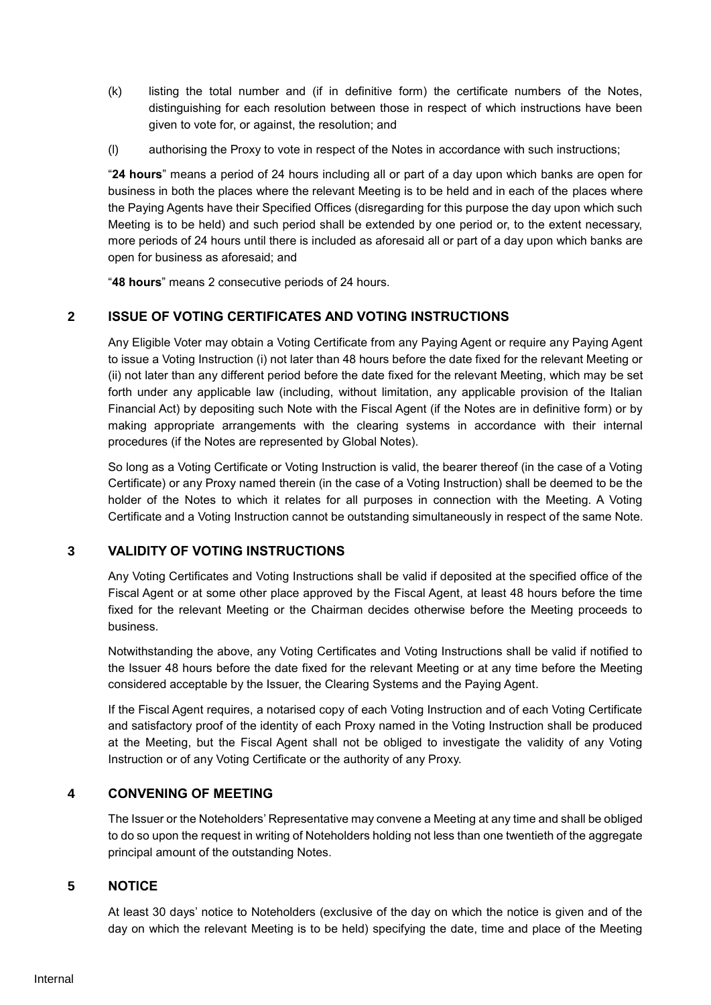- (k) listing the total number and (if in definitive form) the certificate numbers of the Notes, distinguishing for each resolution between those in respect of which instructions have been given to vote for, or against, the resolution; and
- (l) authorising the Proxy to vote in respect of the Notes in accordance with such instructions;

"**24 hours**" means a period of 24 hours including all or part of a day upon which banks are open for business in both the places where the relevant Meeting is to be held and in each of the places where the Paying Agents have their Specified Offices (disregarding for this purpose the day upon which such Meeting is to be held) and such period shall be extended by one period or, to the extent necessary, more periods of 24 hours until there is included as aforesaid all or part of a day upon which banks are open for business as aforesaid; and

"**48 hours**" means 2 consecutive periods of 24 hours.

# **2 ISSUE OF VOTING CERTIFICATES AND VOTING INSTRUCTIONS**

Any Eligible Voter may obtain a Voting Certificate from any Paying Agent or require any Paying Agent to issue a Voting Instruction (i) not later than 48 hours before the date fixed for the relevant Meeting or (ii) not later than any different period before the date fixed for the relevant Meeting, which may be set forth under any applicable law (including, without limitation, any applicable provision of the Italian Financial Act) by depositing such Note with the Fiscal Agent (if the Notes are in definitive form) or by making appropriate arrangements with the clearing systems in accordance with their internal procedures (if the Notes are represented by Global Notes).

So long as a Voting Certificate or Voting Instruction is valid, the bearer thereof (in the case of a Voting Certificate) or any Proxy named therein (in the case of a Voting Instruction) shall be deemed to be the holder of the Notes to which it relates for all purposes in connection with the Meeting. A Voting Certificate and a Voting Instruction cannot be outstanding simultaneously in respect of the same Note.

# **3 VALIDITY OF VOTING INSTRUCTIONS**

Any Voting Certificates and Voting Instructions shall be valid if deposited at the specified office of the Fiscal Agent or at some other place approved by the Fiscal Agent, at least 48 hours before the time fixed for the relevant Meeting or the Chairman decides otherwise before the Meeting proceeds to business.

Notwithstanding the above, any Voting Certificates and Voting Instructions shall be valid if notified to the Issuer 48 hours before the date fixed for the relevant Meeting or at any time before the Meeting considered acceptable by the Issuer, the Clearing Systems and the Paying Agent.

If the Fiscal Agent requires, a notarised copy of each Voting Instruction and of each Voting Certificate and satisfactory proof of the identity of each Proxy named in the Voting Instruction shall be produced at the Meeting, but the Fiscal Agent shall not be obliged to investigate the validity of any Voting Instruction or of any Voting Certificate or the authority of any Proxy.

## **4 CONVENING OF MEETING**

The Issuer or the Noteholders' Representative may convene a Meeting at any time and shall be obliged to do so upon the request in writing of Noteholders holding not less than one twentieth of the aggregate principal amount of the outstanding Notes.

## **5 NOTICE**

At least 30 days' notice to Noteholders (exclusive of the day on which the notice is given and of the day on which the relevant Meeting is to be held) specifying the date, time and place of the Meeting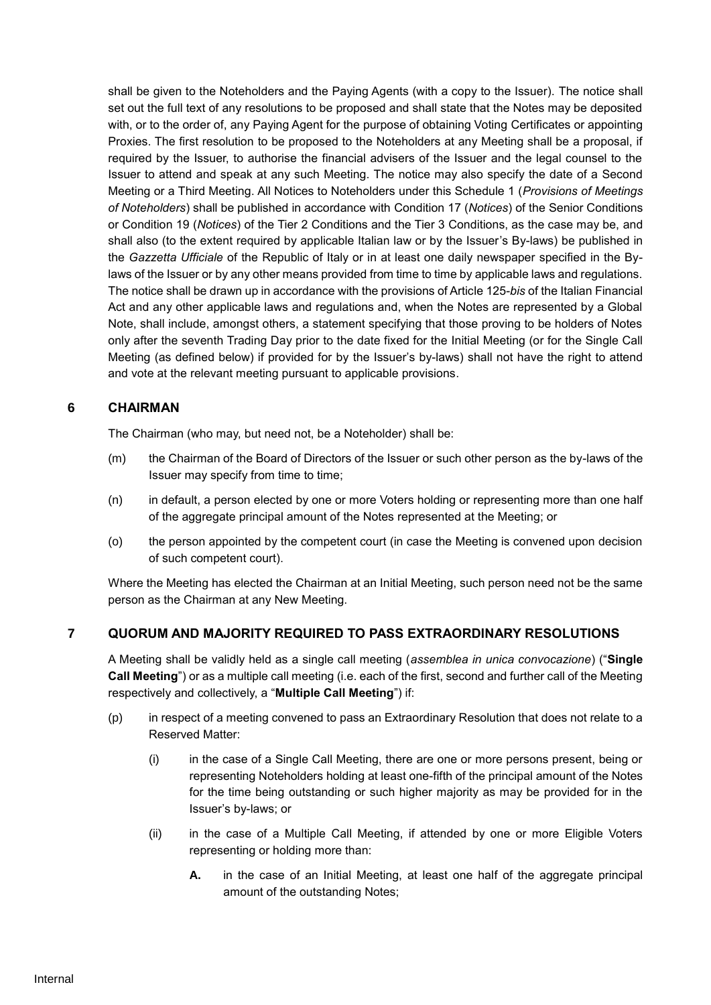shall be given to the Noteholders and the Paying Agents (with a copy to the Issuer). The notice shall set out the full text of any resolutions to be proposed and shall state that the Notes may be deposited with, or to the order of, any Paying Agent for the purpose of obtaining Voting Certificates or appointing Proxies. The first resolution to be proposed to the Noteholders at any Meeting shall be a proposal, if required by the Issuer, to authorise the financial advisers of the Issuer and the legal counsel to the Issuer to attend and speak at any such Meeting. The notice may also specify the date of a Second Meeting or a Third Meeting. All Notices to Noteholders under this Schedule 1 (*Provisions of Meetings of Noteholders*) shall be published in accordance with Condition 17 (*Notices*) of the Senior Conditions or Condition 19 (*Notices*) of the Tier 2 Conditions and the Tier 3 Conditions, as the case may be, and shall also (to the extent required by applicable Italian law or by the Issuer's By-laws) be published in the *Gazzetta Ufficiale* of the Republic of Italy or in at least one daily newspaper specified in the Bylaws of the Issuer or by any other means provided from time to time by applicable laws and regulations. The notice shall be drawn up in accordance with the provisions of Article 125-*bis* of the Italian Financial Act and any other applicable laws and regulations and, when the Notes are represented by a Global Note, shall include, amongst others, a statement specifying that those proving to be holders of Notes only after the seventh Trading Day prior to the date fixed for the Initial Meeting (or for the Single Call Meeting (as defined below) if provided for by the Issuer's by-laws) shall not have the right to attend and vote at the relevant meeting pursuant to applicable provisions.

# **6 CHAIRMAN**

The Chairman (who may, but need not, be a Noteholder) shall be:

- (m) the Chairman of the Board of Directors of the Issuer or such other person as the by-laws of the Issuer may specify from time to time;
- (n) in default, a person elected by one or more Voters holding or representing more than one half of the aggregate principal amount of the Notes represented at the Meeting; or
- (o) the person appointed by the competent court (in case the Meeting is convened upon decision of such competent court).

Where the Meeting has elected the Chairman at an Initial Meeting, such person need not be the same person as the Chairman at any New Meeting.

# **7 QUORUM AND MAJORITY REQUIRED TO PASS EXTRAORDINARY RESOLUTIONS**

A Meeting shall be validly held as a single call meeting (*assemblea in unica convocazione*) ("**Single Call Meeting**") or as a multiple call meeting (i.e. each of the first, second and further call of the Meeting respectively and collectively, a "**Multiple Call Meeting**") if:

- (p) in respect of a meeting convened to pass an Extraordinary Resolution that does not relate to a Reserved Matter:
	- (i) in the case of a Single Call Meeting, there are one or more persons present, being or representing Noteholders holding at least one-fifth of the principal amount of the Notes for the time being outstanding or such higher majority as may be provided for in the Issuer's by-laws; or
	- (ii) in the case of a Multiple Call Meeting, if attended by one or more Eligible Voters representing or holding more than:
		- **A.** in the case of an Initial Meeting, at least one half of the aggregate principal amount of the outstanding Notes;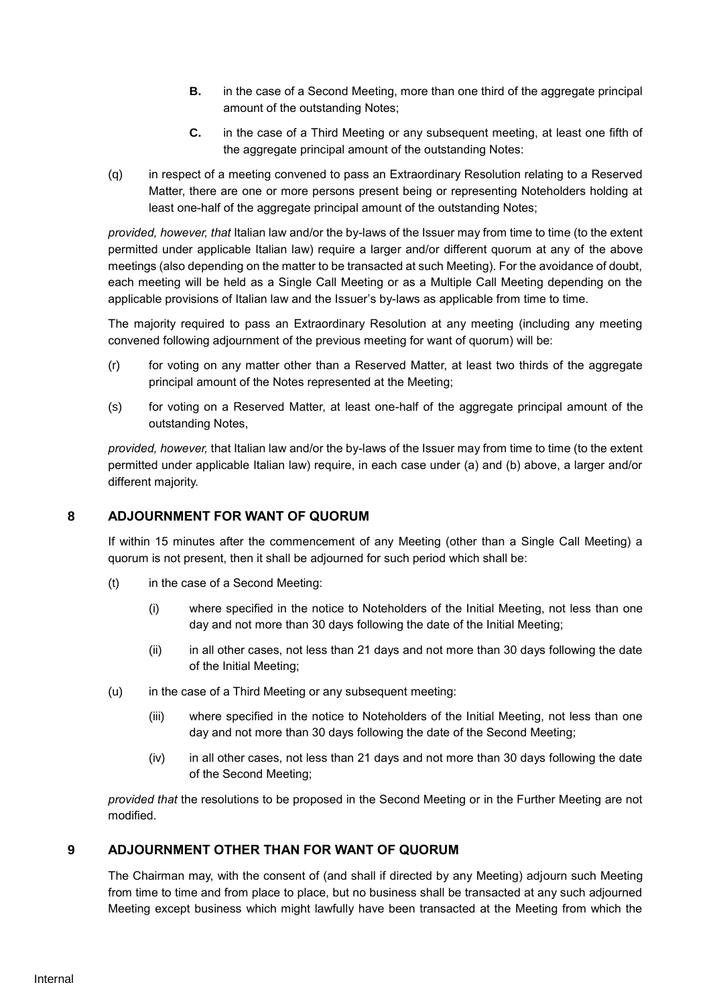- **B.** in the case of a Second Meeting, more than one third of the aggregate principal amount of the outstanding Notes;
- **C.** in the case of a Third Meeting or any subsequent meeting, at least one fifth of the aggregate principal amount of the outstanding Notes:
- (q) in respect of a meeting convened to pass an Extraordinary Resolution relating to a Reserved Matter, there are one or more persons present being or representing Noteholders holding at least one-half of the aggregate principal amount of the outstanding Notes;

*provided, however, that* Italian law and/or the by-laws of the Issuer may from time to time (to the extent permitted under applicable Italian law) require a larger and/or different quorum at any of the above meetings (also depending on the matter to be transacted at such Meeting). For the avoidance of doubt, each meeting will be held as a Single Call Meeting or as a Multiple Call Meeting depending on the applicable provisions of Italian law and the Issuer's by-laws as applicable from time to time.

The majority required to pass an Extraordinary Resolution at any meeting (including any meeting convened following adjournment of the previous meeting for want of quorum) will be:

- (r) for voting on any matter other than a Reserved Matter, at least two thirds of the aggregate principal amount of the Notes represented at the Meeting;
- (s) for voting on a Reserved Matter, at least one-half of the aggregate principal amount of the outstanding Notes,

*provided, however,* that Italian law and/or the by-laws of the Issuer may from time to time (to the extent permitted under applicable Italian law) require, in each case under (a) and (b) above, a larger and/or different majority.

## **8 ADJOURNMENT FOR WANT OF QUORUM**

If within 15 minutes after the commencement of any Meeting (other than a Single Call Meeting) a quorum is not present, then it shall be adjourned for such period which shall be:

- (t) in the case of a Second Meeting:
	- (i) where specified in the notice to Noteholders of the Initial Meeting, not less than one day and not more than 30 days following the date of the Initial Meeting;
	- (ii) in all other cases, not less than 21 days and not more than 30 days following the date of the Initial Meeting;
- (u) in the case of a Third Meeting or any subsequent meeting:
	- (iii) where specified in the notice to Noteholders of the Initial Meeting, not less than one day and not more than 30 days following the date of the Second Meeting;
	- (iv) in all other cases, not less than 21 days and not more than 30 days following the date of the Second Meeting;

*provided that* the resolutions to be proposed in the Second Meeting or in the Further Meeting are not modified.

## **9 ADJOURNMENT OTHER THAN FOR WANT OF QUORUM**

The Chairman may, with the consent of (and shall if directed by any Meeting) adjourn such Meeting from time to time and from place to place, but no business shall be transacted at any such adjourned Meeting except business which might lawfully have been transacted at the Meeting from which the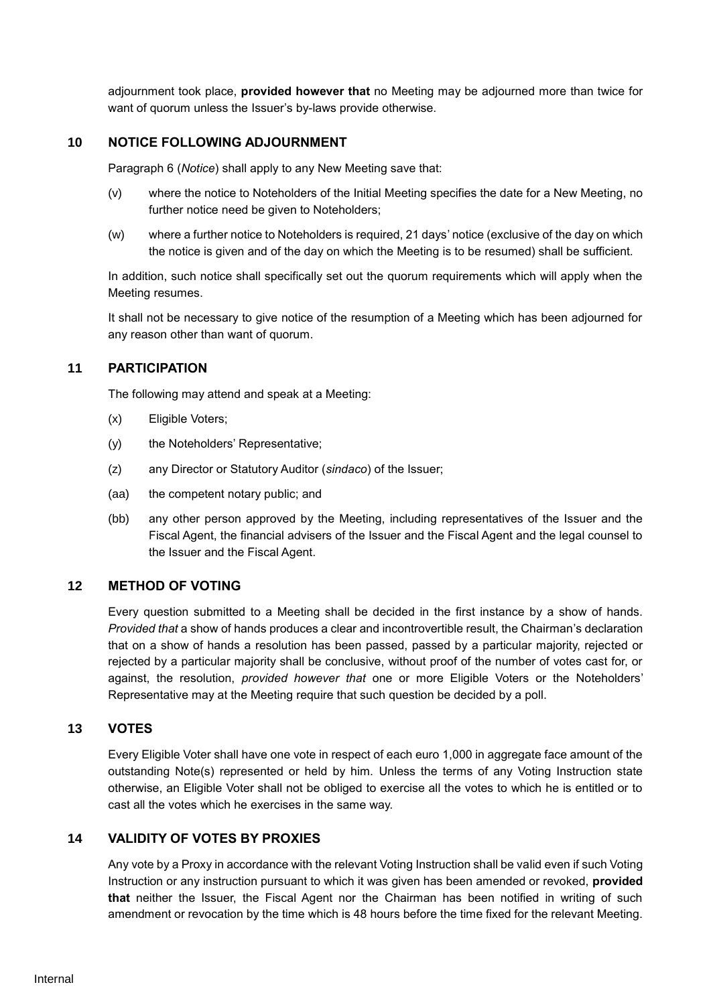adjournment took place, **provided however that** no Meeting may be adjourned more than twice for want of quorum unless the Issuer's by-laws provide otherwise.

### **10 NOTICE FOLLOWING ADJOURNMENT**

Paragraph 6 (*Notice*) shall apply to any New Meeting save that:

- (v) where the notice to Noteholders of the Initial Meeting specifies the date for a New Meeting, no further notice need be given to Noteholders;
- (w) where a further notice to Noteholders is required, 21 days' notice (exclusive of the day on which the notice is given and of the day on which the Meeting is to be resumed) shall be sufficient.

In addition, such notice shall specifically set out the quorum requirements which will apply when the Meeting resumes.

It shall not be necessary to give notice of the resumption of a Meeting which has been adjourned for any reason other than want of quorum.

#### **11 PARTICIPATION**

The following may attend and speak at a Meeting:

- (x) Eligible Voters;
- (y) the Noteholders' Representative;
- (z) any Director or Statutory Auditor (*sindaco*) of the Issuer;
- (aa) the competent notary public; and
- (bb) any other person approved by the Meeting, including representatives of the Issuer and the Fiscal Agent, the financial advisers of the Issuer and the Fiscal Agent and the legal counsel to the Issuer and the Fiscal Agent.

#### **12 METHOD OF VOTING**

Every question submitted to a Meeting shall be decided in the first instance by a show of hands. *Provided that* a show of hands produces a clear and incontrovertible result, the Chairman's declaration that on a show of hands a resolution has been passed, passed by a particular majority, rejected or rejected by a particular majority shall be conclusive, without proof of the number of votes cast for, or against, the resolution, *provided however that* one or more Eligible Voters or the Noteholders' Representative may at the Meeting require that such question be decided by a poll.

## **13 VOTES**

Every Eligible Voter shall have one vote in respect of each euro 1,000 in aggregate face amount of the outstanding Note(s) represented or held by him. Unless the terms of any Voting Instruction state otherwise, an Eligible Voter shall not be obliged to exercise all the votes to which he is entitled or to cast all the votes which he exercises in the same way.

#### **14 VALIDITY OF VOTES BY PROXIES**

Any vote by a Proxy in accordance with the relevant Voting Instruction shall be valid even if such Voting Instruction or any instruction pursuant to which it was given has been amended or revoked, **provided that** neither the Issuer, the Fiscal Agent nor the Chairman has been notified in writing of such amendment or revocation by the time which is 48 hours before the time fixed for the relevant Meeting.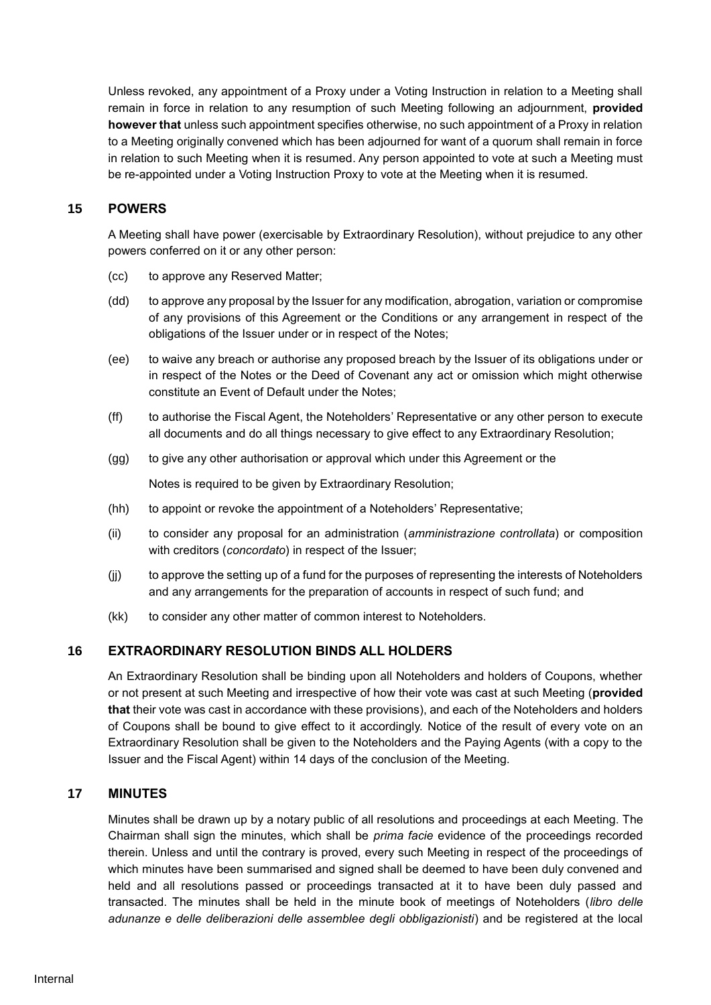Unless revoked, any appointment of a Proxy under a Voting Instruction in relation to a Meeting shall remain in force in relation to any resumption of such Meeting following an adjournment, **provided however that** unless such appointment specifies otherwise, no such appointment of a Proxy in relation to a Meeting originally convened which has been adjourned for want of a quorum shall remain in force in relation to such Meeting when it is resumed. Any person appointed to vote at such a Meeting must be re-appointed under a Voting Instruction Proxy to vote at the Meeting when it is resumed.

## **15 POWERS**

A Meeting shall have power (exercisable by Extraordinary Resolution), without prejudice to any other powers conferred on it or any other person:

- (cc) to approve any Reserved Matter;
- (dd) to approve any proposal by the Issuer for any modification, abrogation, variation or compromise of any provisions of this Agreement or the Conditions or any arrangement in respect of the obligations of the Issuer under or in respect of the Notes;
- (ee) to waive any breach or authorise any proposed breach by the Issuer of its obligations under or in respect of the Notes or the Deed of Covenant any act or omission which might otherwise constitute an Event of Default under the Notes;
- (ff) to authorise the Fiscal Agent, the Noteholders' Representative or any other person to execute all documents and do all things necessary to give effect to any Extraordinary Resolution;
- (gg) to give any other authorisation or approval which under this Agreement or the

Notes is required to be given by Extraordinary Resolution;

- (hh) to appoint or revoke the appointment of a Noteholders' Representative;
- (ii) to consider any proposal for an administration (*amministrazione controllata*) or composition with creditors (*concordato*) in respect of the Issuer;
- (jj) to approve the setting up of a fund for the purposes of representing the interests of Noteholders and any arrangements for the preparation of accounts in respect of such fund; and
- (kk) to consider any other matter of common interest to Noteholders.

#### **16 EXTRAORDINARY RESOLUTION BINDS ALL HOLDERS**

An Extraordinary Resolution shall be binding upon all Noteholders and holders of Coupons, whether or not present at such Meeting and irrespective of how their vote was cast at such Meeting (**provided that** their vote was cast in accordance with these provisions), and each of the Noteholders and holders of Coupons shall be bound to give effect to it accordingly. Notice of the result of every vote on an Extraordinary Resolution shall be given to the Noteholders and the Paying Agents (with a copy to the Issuer and the Fiscal Agent) within 14 days of the conclusion of the Meeting.

### **17 MINUTES**

Minutes shall be drawn up by a notary public of all resolutions and proceedings at each Meeting. The Chairman shall sign the minutes, which shall be *prima facie* evidence of the proceedings recorded therein. Unless and until the contrary is proved, every such Meeting in respect of the proceedings of which minutes have been summarised and signed shall be deemed to have been duly convened and held and all resolutions passed or proceedings transacted at it to have been duly passed and transacted. The minutes shall be held in the minute book of meetings of Noteholders (*libro delle adunanze e delle deliberazioni delle assemblee degli obbligazionisti*) and be registered at the local